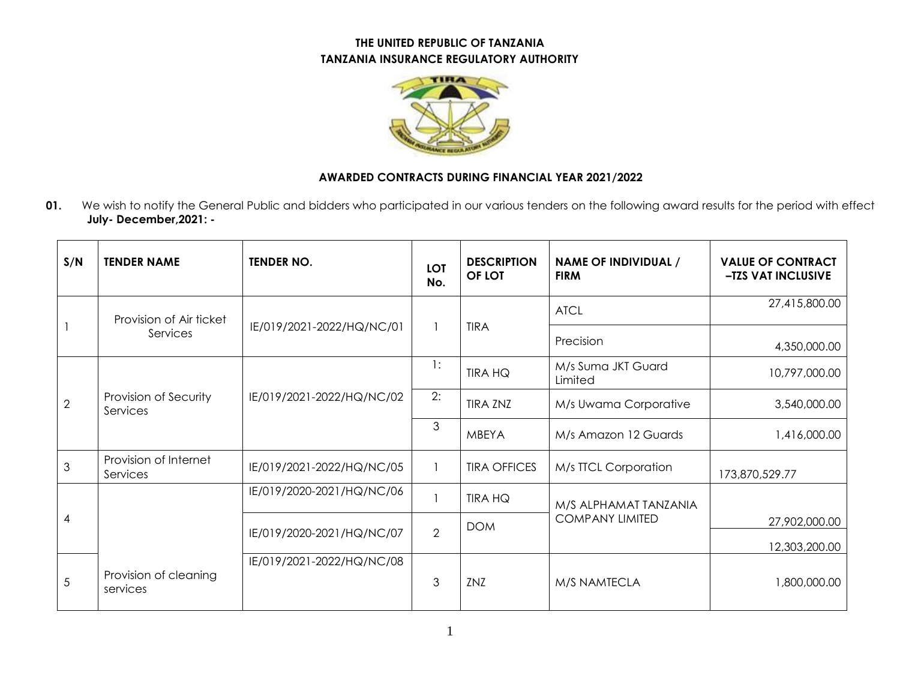## **THE UNITED REPUBLIC OF TANZANIA TANZANIA INSURANCE REGULATORY AUTHORITY**



## **AWARDED CONTRACTS DURING FINANCIAL YEAR 2021/2022**

**01.** We wish to notify the General Public and bidders who participated in our various tenders on the following award results for the period with effect **July- December,2021: -**

| S/N            | <b>TENDER NAME</b>                  | <b>TENDER NO.</b>         | <b>LOT</b><br>No. | <b>DESCRIPTION</b><br>OF LOT | <b>NAME OF INDIVIDUAL /</b><br><b>FIRM</b>      | <b>VALUE OF CONTRACT</b><br>-TZS VAT INCLUSIVE |
|----------------|-------------------------------------|---------------------------|-------------------|------------------------------|-------------------------------------------------|------------------------------------------------|
|                | Provision of Air ticket<br>Services | IE/019/2021-2022/HQ/NC/01 |                   | <b>TIRA</b>                  | <b>ATCL</b>                                     | 27,415,800.00                                  |
|                |                                     |                           |                   |                              | Precision                                       | 4,350,000.00                                   |
| $\overline{2}$ | Provision of Security<br>Services   | IE/019/2021-2022/HQ/NC/02 | 1:                | <b>TIRA HQ</b>               | M/s Suma JKT Guard<br>Limited                   | 10,797,000.00                                  |
|                |                                     |                           | 2:                | <b>TIRA ZNZ</b>              | M/s Uwama Corporative                           | 3,540,000.00                                   |
|                |                                     |                           | 3                 | <b>MBEYA</b>                 | M/s Amazon 12 Guards                            | 1,416,000.00                                   |
| 3              | Provision of Internet<br>Services   | IE/019/2021-2022/HQ/NC/05 |                   | <b>TIRA OFFICES</b>          | M/s TTCL Corporation                            | 173,870,529.77                                 |
| 4              |                                     | IE/019/2020-2021/HQ/NC/06 |                   | <b>TIRA HQ</b>               | M/S ALPHAMAT TANZANIA<br><b>COMPANY LIMITED</b> |                                                |
|                |                                     | IE/019/2020-2021/HQ/NC/07 | $\overline{2}$    | <b>DOM</b>                   |                                                 | 27,902,000.00                                  |
|                |                                     |                           |                   |                              |                                                 | 12,303,200.00                                  |
| 5              | Provision of cleaning<br>services   | IE/019/2021-2022/HQ/NC/08 | 3                 | ZNZ                          | M/S NAMTECLA                                    | 1,800,000.00                                   |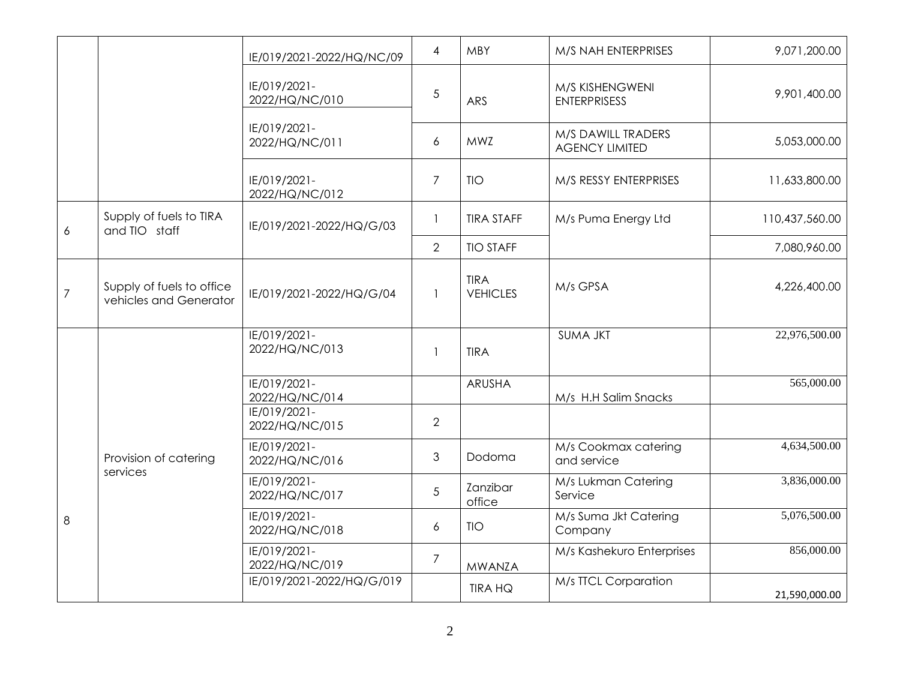|                |                                                     | IE/019/2021-2022/HQ/NC/09      | 4                        | <b>MBY</b>                     | M/S NAH ENTERPRISES                         | 9,071,200.00   |
|----------------|-----------------------------------------------------|--------------------------------|--------------------------|--------------------------------|---------------------------------------------|----------------|
|                |                                                     | IE/019/2021-<br>2022/HQ/NC/010 | 5                        | <b>ARS</b>                     | M/S KISHENGWENI<br><b>ENTERPRISESS</b>      | 9,901,400.00   |
|                |                                                     | IE/019/2021-<br>2022/HQ/NC/011 | 6                        | <b>MWZ</b>                     | M/S DAWILL TRADERS<br><b>AGENCY LIMITED</b> | 5,053,000.00   |
|                |                                                     | IE/019/2021-<br>2022/HQ/NC/012 | $\overline{7}$           | <b>TIO</b>                     | M/S RESSY ENTERPRISES                       | 11,633,800.00  |
| 6              | Supply of fuels to TIRA<br>and TIO staff            | IE/019/2021-2022/HQ/G/03       | $\overline{\phantom{a}}$ | <b>TIRA STAFF</b>              | M/s Puma Energy Ltd                         | 110,437,560.00 |
|                |                                                     |                                | 2                        | <b>TIO STAFF</b>               |                                             | 7,080,960.00   |
| $\overline{7}$ | Supply of fuels to office<br>vehicles and Generator | IE/019/2021-2022/HQ/G/04       | $\overline{1}$           | <b>TIRA</b><br><b>VEHICLES</b> | M/s GPSA                                    | 4,226,400.00   |
| 8              | Provision of catering<br>services                   | IE/019/2021-<br>2022/HQ/NC/013 | $\overline{1}$           | <b>TIRA</b>                    | <b>SUMA JKT</b>                             | 22,976,500.00  |
|                |                                                     | IE/019/2021-<br>2022/HQ/NC/014 |                          | <b>ARUSHA</b>                  | M/s H.H Salim Snacks                        | 565,000.00     |
|                |                                                     | IE/019/2021-<br>2022/HQ/NC/015 | $\overline{2}$           |                                |                                             |                |
|                |                                                     | IE/019/2021-<br>2022/HQ/NC/016 | $\mathfrak{Z}$           | Dodoma                         | M/s Cookmax catering<br>and service         | 4,634,500.00   |
|                |                                                     | IE/019/2021-<br>2022/HQ/NC/017 | 5                        | Zanzibar<br>office             | M/s Lukman Catering<br>Service              | 3,836,000.00   |
|                |                                                     | IE/019/2021-<br>2022/HQ/NC/018 | 6                        | <b>TIO</b>                     | M/s Suma Jkt Catering<br>Company            | 5,076,500.00   |
|                |                                                     | IE/019/2021-<br>2022/HQ/NC/019 | $\overline{7}$           | <b>MWANZA</b>                  | M/s Kashekuro Enterprises                   | 856,000.00     |
|                |                                                     | IE/019/2021-2022/HQ/G/019      |                          | <b>TIRA HQ</b>                 | M/s TTCL Corparation                        | 21,590,000.00  |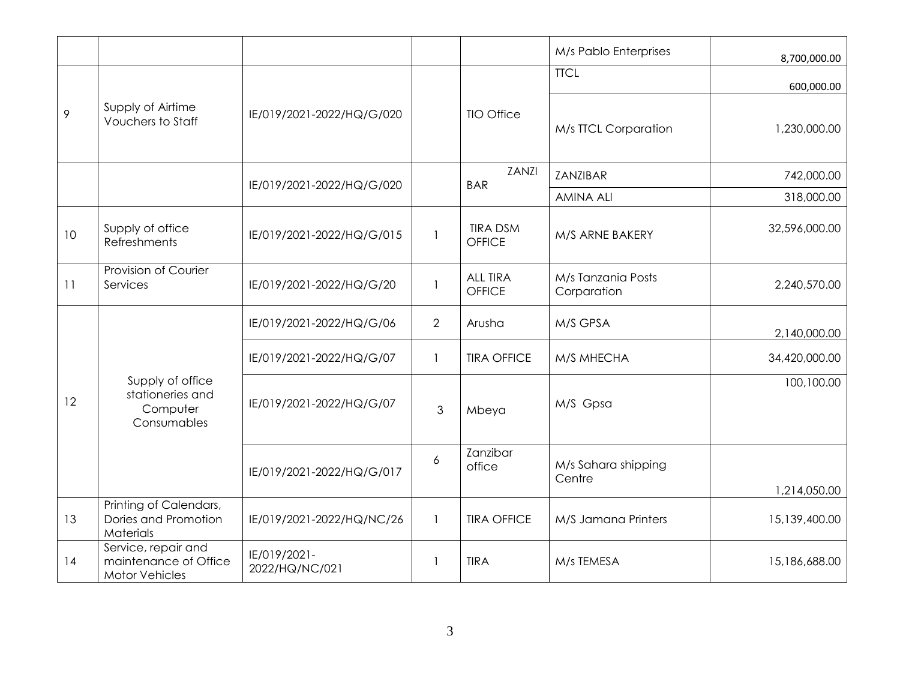|    |                                                                       |                                |                |                                  | M/s Pablo Enterprises             | 8,700,000.00  |
|----|-----------------------------------------------------------------------|--------------------------------|----------------|----------------------------------|-----------------------------------|---------------|
|    |                                                                       |                                |                |                                  | <b>TTCL</b>                       | 600,000.00    |
| 9  | Supply of Airtime<br><b>Vouchers to Staff</b>                         | IE/019/2021-2022/HQ/G/020      |                | <b>TIO Office</b>                | M/s TTCL Corparation              | 1,230,000.00  |
|    |                                                                       | IE/019/2021-2022/HQ/G/020      |                | ZANZI<br><b>BAR</b>              | ZANZIBAR                          | 742,000.00    |
|    |                                                                       |                                |                |                                  | <b>AMINA ALI</b>                  | 318,000.00    |
| 10 | Supply of office<br>Refreshments                                      | IE/019/2021-2022/HQ/G/015      | 1              | <b>TIRA DSM</b><br><b>OFFICE</b> | M/S ARNE BAKERY                   | 32,596,000.00 |
| 11 | Provision of Courier<br>Services                                      | IE/019/2021-2022/HQ/G/20       |                | <b>ALL TIRA</b><br>OFFICE        | M/s Tanzania Posts<br>Corparation | 2,240,570.00  |
| 12 | Supply of office<br>stationeries and<br>Computer<br>Consumables       | IE/019/2021-2022/HQ/G/06       | $\overline{2}$ | Arusha                           | M/S GPSA                          | 2,140,000.00  |
|    |                                                                       | IE/019/2021-2022/HQ/G/07       |                | <b>TIRA OFFICE</b>               | M/S MHECHA                        | 34,420,000.00 |
|    |                                                                       | IE/019/2021-2022/HQ/G/07       | 3              | Mbeya                            | M/S Gpsa                          | 100,100.00    |
|    |                                                                       | IE/019/2021-2022/HQ/G/017      | 6              | Zanzibar<br>office               | M/s Sahara shipping<br>Centre     | 1,214,050.00  |
| 13 | Printing of Calendars,<br>Dories and Promotion<br>Materials           | IE/019/2021-2022/HQ/NC/26      | $\mathbf{1}$   | <b>TIRA OFFICE</b>               | M/S Jamana Printers               | 15,139,400.00 |
| 14 | Service, repair and<br>maintenance of Office<br><b>Motor Vehicles</b> | IE/019/2021-<br>2022/HQ/NC/021 |                | <b>TIRA</b>                      | M/s TEMESA                        | 15,186,688.00 |